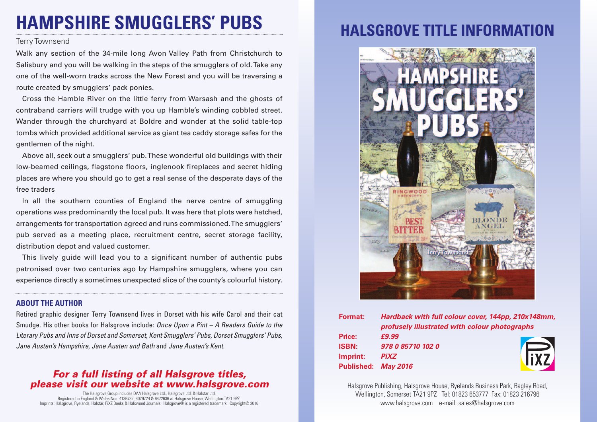# **HAMPSHIRE SMUGGLERS' PUBS**

### Terry Townsend

Walk any section of the 34-mile long Avon Valley Path from Christchurch to Salisbury and you will be walking in the steps of the smugglers of old.Take any one of the well-worn tracks across the New Forest and you will be traversing a route created by smugglers' pack ponies.

Cross the Hamble River on the little ferry from Warsash and the ghosts of contraband carriers will trudge with you up Hamble's winding cobbled street. Wander through the churchyard at Boldre and wonder at the solid table-top tombs which provided additional service as giant tea caddy storage safes for the gentlemen of the night.

Above all, seek out a smugglers' pub.These wonderful old buildings with their low-beamed ceilings, flagstone floors, inglenook fireplaces and secret hiding places are where you should go to get a real sense of the desperate days of the free traders

In all the southern counties of England the nerve centre of smuggling operations was predominantly the local pub. It was here that plots were hatched, arrangements for transportation agreed and runs commissioned.The smugglers' pub served as a meeting place, recruitment centre, secret storage facility, distribution depot and valued customer.

This lively guide will lead you to a significant number of authentic pubs patronised over two centuries ago by Hampshire smugglers, where you can experience directly a sometimes unexpected slice of the county's colourful history.

#### **ABOUT THE AUTHOR**

Retired graphic designer Terry Townsend lives in Dorset with his wife Carol and their cat Smudge. His other books for Halsgrove include: *Once Upon a Pint – A Readers Guide to the Literary Pubs and Inns of Dorset and Somerset, Kent Smugglers' Pubs, Dorset Smugglers' Pubs, Jane Austen's Hampshire, Jane Austen and Bath* and *Jane Austen's Kent.*

### *For a full listing of all Halsgrove titles, please visit our website at www.halsgrove.com*

The Halsgrove Group includes DAA Halsgrove Ltd., Halsgrove Ltd. & Halstar Ltd. Registered in England & Wales Nos. 4136732, 6029724 & 6472636 at Halsgrove House, Wellington TA21 9PZ. Imprints: Halsgrove, Ryelands, Halstar, PiXZ Books & Halswood Journals. Halsgrove® is a registered trademark. Copyright© 2016

## **HALSGROVE TITLE INFORMAT**



| Format:      | Hardback with full colour cover, 144pp, 210x148mm,<br>profusely illustrated with colour photographs |             |
|--------------|-----------------------------------------------------------------------------------------------------|-------------|
|              |                                                                                                     |             |
| Price:       | £9.99                                                                                               |             |
| <b>ISBN:</b> | 978 0 85710 102 0                                                                                   |             |
| Imprint:     | <b>PiXZ</b>                                                                                         | <b>FIXZ</b> |
|              | Published: May 2016                                                                                 |             |

Halsgrove Publishing, Halsgrove House, Ryelands Business Park, Bagley Road, Wellington, Somerset TA21 9PZ Tel: 01823 653777 Fax: 01823 216796 www.halsgrove.com e-mail: sales@halsgrove.com